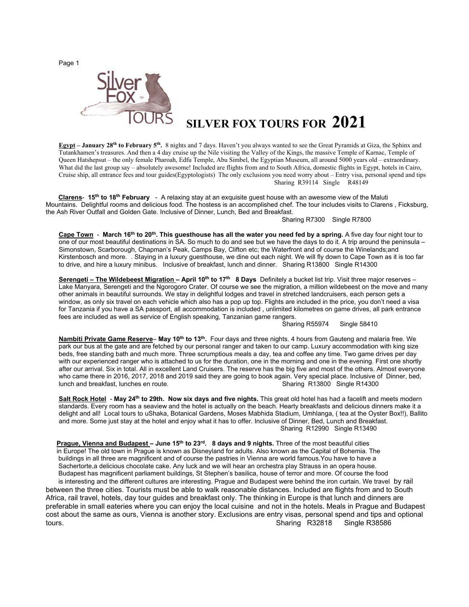Page 1



## **SILVER FOX TOURS FOR 2021**

**Egypt – January 28<sup>th</sup> to February 5<sup>th</sup>.** 8 nights and 7 days. Haven't you always wanted to see the Great Pyramids at Giza, the Sphinx and Tutankhamen's treasures. And then a 4 day cruise up the Nile visiting the Valley of the Kings, the massive Temple of Karnac, Temple of Queen Hatshepsut – the only female Pharoah, Edfu Temple, Abu Simbel, the Egyptian Museum, all around 5000 years old – extraordinary. What did the last group say – absolutely awesome! Included are flights from and to South Africa, domestic flights in Egypt, hotels in Cairo, Cruise ship, all entrance fees and tour guides(Egyptologists) The only exclusions you need worry about – Entry visa, personal spend and tips Sharing R39114 Single R48149

 **Clarens**- **15th to 18th February** - A relaxing stay at an exquisite guest house with an awesome view of the Maluti Mountains. Delightful rooms and delicious food. The hostess is an accomplished chef. The tour includes visits to Clarens , Ficksburg, the Ash River Outfall and Golden Gate. Inclusive of Dinner, Lunch, Bed and Breakfast.

## Sharing R7300 Single R7800

**Cape Town** - **March 16th to 20th. This guesthouse has all the water you need fed by a spring.** A five day four night tour to one of our most beautiful destinations in SA. So much to do and see but we have the days to do it. A trip around the peninsula – Simonstown, Scarborough, Chapman's Peak, Camps Bay, Clifton etc; the Waterfront and of course the Winelands;and Kirstenbosch and more. . Staying in a luxury guesthouse, we dine out each night. We will fly down to Cape Town as it is too far to drive, and hire a luxury minibus. Inclusive of breakfast, lunch and dinner. Sharing R13800 Single R14300

**Serengeti – The Wildebeest Migration – April 10th to 17th 8 Days** Definitely a bucket list trip. Visit three major reserves – Lake Manyara, Serengeti and the Ngorogoro Crater. Of course we see the migration, a million wildebeest on the move and many other animals in beautiful surrounds. We stay in delightful lodges and travel in stretched landcruisers, each person gets a window, as only six travel on each vehicle which also has a pop up top. Flights are included in the price, you don't need a visa for Tanzania if you have a SA passport, all accommodation is included , unlimited kilometres on game drives, all park entrance fees are included as well as service of English speaking, Tanzanian game rangers.

Sharing R55974 Single 58410

**Nambiti Private Game Reserve**– **May 10th to 13th.** Four days and three nights. 4 hours from Gauteng and malaria free. We park our bus at the gate and are fetched by our personal ranger and taken to our camp. Luxury accommodation with king size beds, free standing bath and much more. Three scrumptious meals a day, tea and coffee any time. Two game drives per day with our experienced ranger who is attached to us for the duration, one in the morning and one in the evening. First one shortly after our arrival. Six in total. All in excellent Land Cruisers. The reserve has the big five and most of the others. Almost everyone who came there in 2016, 2017, 2018 and 2019 said they are going to book again. Very special place. Inclusive of Dinner, bed, lunch and breakfast, lunches en route. Sharing R13800 Single R14300

**Salt Rock Hotel** - **May 24th to 29th. Now six days and five nights.** This great old hotel has had a facelift and meets modern standards. Every room has a seaview and the hotel is actually on the beach. Hearty breakfasts and delicious dinners make it a delight and all! Local tours to uShaka, Botanical Gardens, Moses Mabhida Stadium, Umhlanga, ( tea at the Oyster Box!!), Ballito and more. Some just stay at the hotel and enjoy what it has to offer. Inclusive of Dinner, Bed, Lunch and Breakfast. Sharing R12990 Single R13490

**Prague, Vienna and Budapest – June 15<sup>th</sup> to 23<sup>rd</sup>. 8 days and 9 nights. Three of the most beautiful cities** in Europe! The old town in Prague is known as Disneyland for adults. Also known as the Capital of Bohemia. The buildings in all three are magnificent and of course the pastries in Vienna are world famous.You have to have a Sachertorte,a delicious chocolate cake. Any luck and we will hear an orchestra play Strauss in an opera house. Budapest has magnificent parliament buildings, St Stephen's basilica, house of terror and more. Of course the food is interesting and the different cultures are interesting. Prague and Budapest were behind the iron curtain. We travel by rail

between the three cities. Tourists must be able to walk reasonable distances. Included are flights from and to South Africa, rail travel, hotels, day tour guides and breakfast only. The thinking in Europe is that lunch and dinners are preferable in small eateries where you can enjoy the local cuisine and not in the hotels. Meals in Prague and Budapest cost about the same as ours, Vienna is another story. Exclusions are entry visas, personal spend and tips and optional tours. Sharing R32818 Single R38586